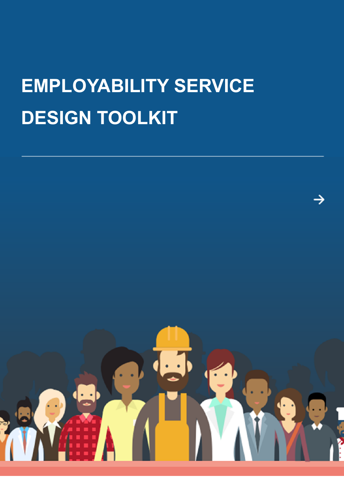# **EMPLOYABILITY SERVICE DESIGN TOOLKIT**

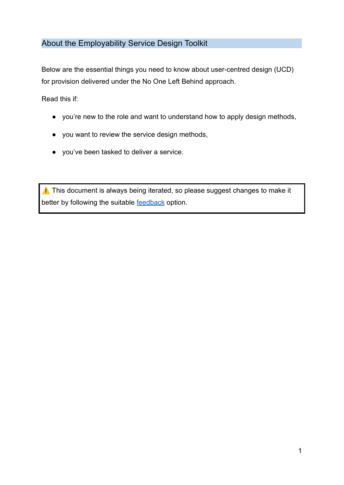# About the Employability Service Design Toolkit

Below are the essential things you need to know about user-centred design (UCD) for provision delivered under the No One Left Behind approach.

Read this if:

- you're new to the role and want to understand how to apply design methods,
- you want to review the service design methods,
- you've been tasked to deliver a service.

⚠️ This document is always being iterated, so please suggest changes to make it better by following the suitable [feedback](#page-25-0) option.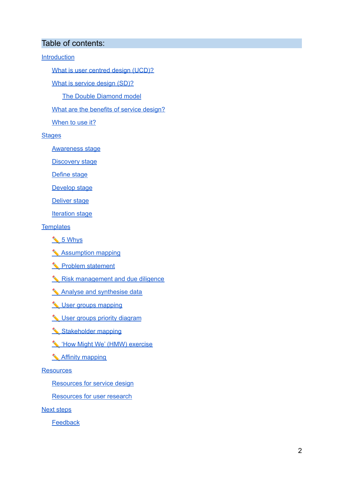#### Table of contents:

**[Introduction](#page-3-0)** 

What is user centred design [\(UCD\)?](#page-3-1)

What is [service](#page-3-2) design (SD)?

The Double [Diamond](#page-4-0) model

What are the [benefits](#page-5-0) of service design?

[When](#page-6-0) to use it?

**[Stages](#page-6-1)** 

[Awareness](#page-7-0) stage

[Discovery](#page-8-0) stage

[Define](#page-9-0) stage

[Develop](#page-10-0) stage

[Deliver](#page-11-0) stage

[Iteration](#page-11-1) stage

**[Templates](#page-12-0)** 

- ✏️ 5 [Whys](#page-12-1)
- ✏️ [Assumption](#page-13-0) mapping
- ✏️ Problem [statement](#page-15-0)
- ✏️ Risk [management](#page-15-1) and due diligence
- ✏️ Analyse and [synthesise](#page-17-0) data
- ✏️ User groups [mapping](#page-18-0)
- $\triangle$  User groups priority [diagram](#page-19-0)
- [Stakeholder](#page-20-0) mapping
- ✏️ 'How Might We' (HMW) [exercise](#page-20-1)
- ✏️ Affinity [mapping](#page-21-0)

#### **[Resources](#page-22-0)**

[Resources](#page-22-1) for service design

[Resources](#page-24-0) for user research

Next [steps](#page-25-1)

**[Feedback](#page-25-0)**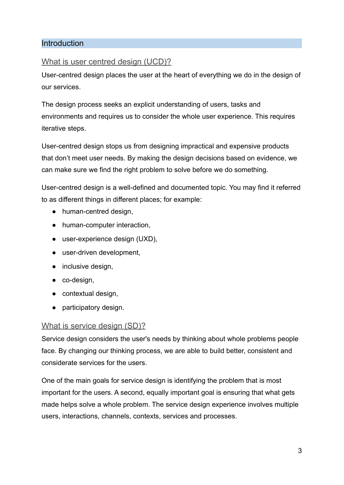# <span id="page-3-0"></span>Introduction

# <span id="page-3-1"></span>What is user centred design (UCD)?

User-centred design places the user at the heart of everything we do in the design of our services.

The design process seeks an explicit understanding of users, tasks and environments and requires us to consider the whole user experience. This requires iterative steps.

User-centred design stops us from designing impractical and expensive products that don't meet user needs. By making the design decisions based on evidence, we can make sure we find the right problem to solve before we do something.

User-centred design is a well-defined and documented topic. You may find it referred to as different things in different places; for example:

- human-centred design,
- human-computer interaction,
- user-experience design (UXD),
- user-driven development,
- inclusive design,
- co-design,
- contextual design,
- participatory design.

# <span id="page-3-2"></span>What is service design (SD)?

Service design considers the user's needs by thinking about whole problems people face. By changing our thinking process, we are able to build better, consistent and considerate services for the users.

One of the main goals for service design is identifying the problem that is most important for the users. A second, equally important goal is ensuring that what gets made helps solve a whole problem. The service design experience involves multiple users, interactions, channels, contexts, services and processes.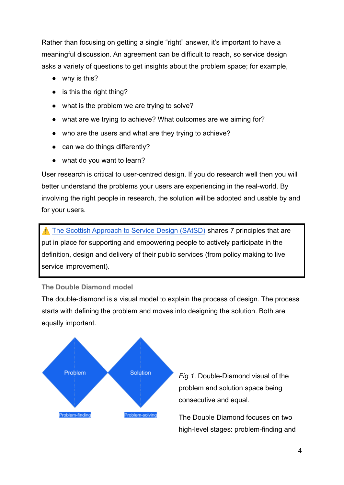Rather than focusing on getting a single "right" answer, it's important to have a meaningful discussion. An agreement can be difficult to reach, so service design asks a variety of questions to get insights about the problem space; for example,

- why is this?
- is this the right thing?
- what is the problem we are trying to solve?
- what are we trying to achieve? What outcomes are we aiming for?
- who are the users and what are they trying to achieve?
- can we do things differently?
- what do you want to learn?

User research is critical to user-centred design. If you do research well then you will better understand the problems your users are experiencing in the real-world. By involving the right people in research, the solution will be adopted and usable by and for your users.

⚠️ [The Scottish Approach to Service Design \(SAtSD\)](https://www.gov.scot/publications/the-scottish-approach-to-service-design/pages/about-this-resource/) shares 7 principles that are put in place for supporting and empowering people to actively participate in the definition, design and delivery of their public services (from policy making to live service improvement).

#### <span id="page-4-0"></span>**The Double Diamond model**

The double-diamond is a visual model to explain the process of design. The process starts with defining the problem and moves into designing the solution. Both are equally important.



*Fig 1*. Double-Diamond visual of the problem and solution space being consecutive and equal.

The Double Diamond focuses on two high-level stages: problem-finding and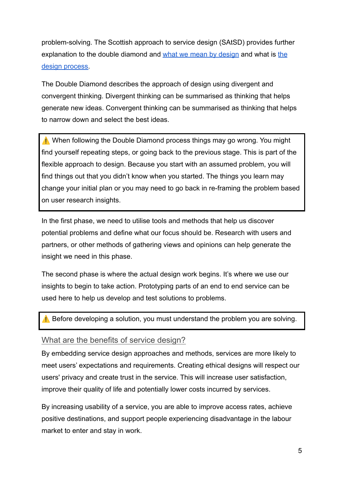problem-solving. The Scottish approach to service design (SAtSD) provides further explanation to the double diamond and [what we mean](https://www.gov.scot/publications/the-scottish-approach-to-service-design/pages/what-we-mean-by-design/) by design and what is [the](https://www.gov.scot/publications/the-scottish-approach-to-service-design/pages/the-design-process/) [design process.](https://www.gov.scot/publications/the-scottish-approach-to-service-design/pages/the-design-process/)

The Double Diamond describes the approach of design using divergent and convergent thinking. Divergent thinking can be summarised as thinking that helps generate new ideas. Convergent thinking can be summarised as thinking that helps to narrow down and select the best ideas.

⚠️ When following the Double Diamond process things may go wrong. You might find yourself repeating steps, or going back to the previous stage. This is part of the flexible approach to design. Because you start with an assumed problem, you will find things out that you didn't know when you started. The things you learn may change your initial plan or you may need to go back in re-framing the problem based on user research insights.

In the first phase, we need to utilise tools and methods that help us discover potential problems and define what our focus should be. Research with users and partners, or other methods of gathering views and opinions can help generate the insight we need in this phase.

The second phase is where the actual design work begins. It's where we use our insights to begin to take action. Prototyping parts of an end to end service can be used here to help us develop and test solutions to problems.

⚠️ Before developing a solution, you must understand the problem you are solving.

# <span id="page-5-0"></span>What are the benefits of service design?

By embedding service design approaches and methods, services are more likely to meet users' expectations and requirements. Creating ethical designs will respect our users' privacy and create trust in the service. This will increase user satisfaction, improve their quality of life and potentially lower costs incurred by services.

By increasing usability of a service, you are able to improve access rates, achieve positive destinations, and support people experiencing disadvantage in the labour market to enter and stay in work.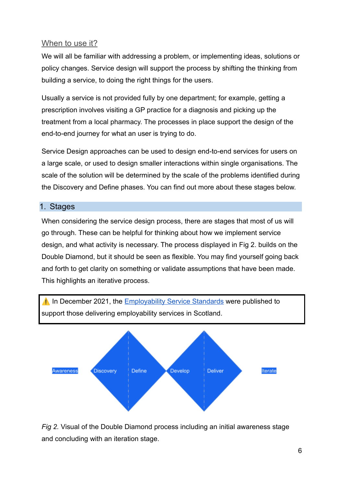# <span id="page-6-0"></span>When to use it?

We will all be familiar with addressing a problem, or implementing ideas, solutions or policy changes. Service design will support the process by shifting the thinking from building a service, to doing the right things for the users.

Usually a service is not provided fully by one department; for example, getting a prescription involves visiting a GP practice for a diagnosis and picking up the treatment from a local pharmacy. The processes in place support the design of the end-to-end journey for what an user is trying to do.

Service Design approaches can be used to design end-to-end services for users on a large scale, or used to design smaller interactions within single organisations. The scale of the solution will be determined by the scale of the problems identified during the Discovery and Define phases. You can find out more about these stages below.

# <span id="page-6-1"></span>1. Stages

When considering the service design process, there are stages that most of us will go through. These can be helpful for thinking about how we implement service design, and what activity is necessary. The process displayed in Fig 2. builds on the Double Diamond, but it should be seen as flexible. You may find yourself going back and forth to get clarity on something or validate assumptions that have been made. This highlights an iterative process.



*Fig 2.* Visual of the Double Diamond process including an initial awareness stage and concluding with an iteration stage.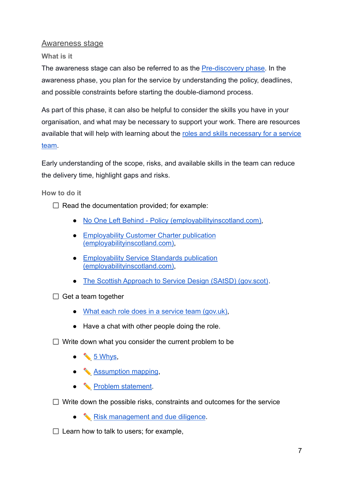<span id="page-7-0"></span>Awareness stage

**What is it**

The awareness stage can also be referred to as the [Pre-discovery phase.](https://defradigital.blog.gov.uk/2017/08/07/what-weve-learned-about-preparing-for-discovery/) In the awareness phase, you plan for the service by understanding the policy, deadlines, and possible constraints before starting the double-diamond process.

As part of this phase, it can also be helpful to consider the skills you have in your organisation, and what may be necessary to support your work. There are resources available that will help with learning about the roles [and skills necessary for a service](https://www.gov.uk/service-manual/the-team/what-each-role-does-in-service-team) [team.](https://www.gov.uk/service-manual/the-team/what-each-role-does-in-service-team)

Early understanding of the scope, risks, and available skills in the team can reduce the delivery time, highlight gaps and risks.

**How to do it**

- $\Box$  Read the documentation provided; for example:
	- [No One Left Behind Policy \(employabilityinscotland.com\),](https://www.employabilityinscotland.com/policy/no-one-left-behind/)
	- [Employability Customer Charter publication](https://www.employabilityinscotland.com/news-events/news/employability-customer-charter-published/) [\(employabilityinscotland.com\)](https://www.employabilityinscotland.com/news-events/news/employability-customer-charter-published/),
	- [Employability Service Standards publication](https://www.employabilityinscotland.com/news-events/news/employability-service-standards-published/) [\(employabilityinscotland.com\)](https://www.employabilityinscotland.com/news-events/news/employability-service-standards-published/),
	- [The Scottish Approach to Service Design \(SAtSD\) \(gov.scot\)](https://www.gov.scot/publications/the-scottish-approach-to-service-design/).
- $\Box$  Get a team together
	- [What each role does in a service team \(gov.uk\),](https://www.gov.uk/service-manual/the-team/what-each-role-does-in-service-team)
	- Have a chat with other people doing the role.

 $\Box$  Write down what you consider the current problem to be

- $\bullet$   $\bullet$  [5 Whys](#page-12-1),
- $\triangle$  [Assumption mapping](#page-13-0),
- **◆** Problem statement.
- $\Box$  Write down the possible risks, constraints and outcomes for the service
	- <u></u> **N** [Risk management and due diligence](#page-15-1).

 $\Box$  Learn how to talk to users; for example,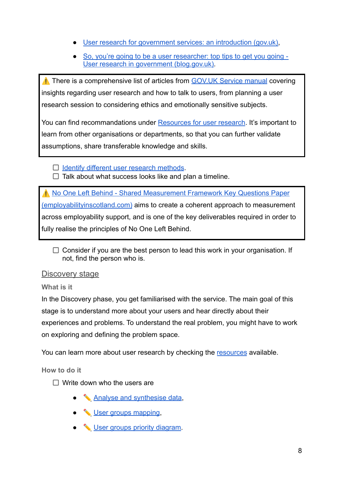- [User research for government services: an introduction \(gov.uk\),](https://www.gov.uk/service-manual/user-research/how-user-research-improves-service-design)
- [So, you're going to be a user researcher: top tips to get you going -](https://userresearch.blog.gov.uk/2015/03/18/so-youre-going-to-be-a-user-researcher-top-tips-to-get-you-going/) [User research in government \(blog.gov.uk\).](https://userresearch.blog.gov.uk/2015/03/18/so-youre-going-to-be-a-user-researcher-top-tips-to-get-you-going/)

⚠️ There is a comprehensive list of articles from [GOV.UK Service manual](https://www.gov.uk/service-manual/user-research) covering insights regarding user research and how to talk to users, from planning a user research session to considering ethics and emotionally sensitive subjects.

You can find recommandations under Resources for user research. It's important to learn from other organisations or departments, so that you can further validate assumptions, share transferable knowledge and skills.

- $\Box$  [Identify different user research methods](#page-24-1).
- $\Box$  Talk about what success looks like and plan a timeline.

⚠️ [No One Left Behind - Shared Measurement Framework](https://www.employabilityinscotland.com/resources-for-partners/no-one-left-behind-shared-measurement-framework-key-questions-paper/) Key Questions Paper [\(employabilityinscotland.com\)](https://www.employabilityinscotland.com/resources-for-partners/no-one-left-behind-shared-measurement-framework-key-questions-paper/) aims to create a coherent approach to measurement across employability support, and is one of the key deliverables required in order to fully realise the principles of No One Left Behind.

 $\Box$  Consider if you are the best person to lead this work in your organisation. If not, find the person who is.

# <span id="page-8-0"></span>Discovery stage

**What is it**

In the Discovery phase, you get familiarised with the service. The main goal of this stage is to understand more about your users and hear directly about their experiences and problems. To understand the real problem, you might have to work on exploring and defining the problem space.

You can learn more about user research by checking the resources available.

**How to do it**

- $\Box$  Write down who the users are
	- ◆ [Analyse and synthesise data](#page-17-1),
	- <u>◆ [User groups mapping](#page-18-0)</u>
	- <u>◆ User groups priority diagram</u>.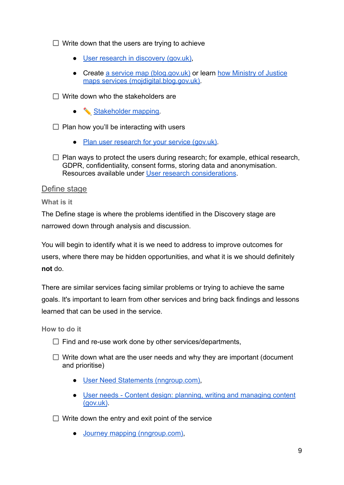$\Box$  Write down that the users are trying to achieve

- [User research in discovery \(gov.uk\),](https://www.gov.uk/service-manual/user-research/user-research-in-discovery)
- Create [a service map \(blog.gov.uk\)](https://services.blog.gov.uk/2020/09/01/service-mapping-a-step-by-step-guide/) or learn [how Ministry](https://mojdigital.blog.gov.uk/2014/06/19/mapping-services-for-the-ministry-of-justice/) of Justice [maps services \(mojdigital.blog.gov.uk\).](https://mojdigital.blog.gov.uk/2014/06/19/mapping-services-for-the-ministry-of-justice/)

 $\Box$  Write down who the stakeholders are

● <del>◆ Stakeholder</del> mapping.

 $\Box$  Plan how you'll be interacting with users

- [Plan user research for your service \(gov.uk\).](https://www.gov.uk/service-manual/user-research/plan-user-research-for-your-service)
- $\Box$  Plan ways to protect the users during research; for example, ethical research, GDPR, confidentiality, consent forms, storing data and anonymisation. Resources available under [User research considerations](#page-24-2).

#### <span id="page-9-0"></span>Define stage

**What is it**

The Define stage is where the problems identified in the Discovery stage are narrowed down through analysis and discussion.

You will begin to identify what it is we need to address to improve outcomes for users, where there may be hidden opportunities, and what it is we should definitely **not** do.

There are similar services facing similar problems or trying to achieve the same goals. It's important to learn from other services and bring back findings and lessons learned that can be used in the service.

**How to do it**

- $\Box$  Find and re-use work done by other services/departments,
- $\Box$  Write down what are the user needs and why they are important (document and prioritise)
	- [User Need Statements \(nngroup.com\),](https://www.nngroup.com/articles/user-need-statements/)
	- [User needs Content design: planning, writing and managing content](https://www.gov.uk/guidance/content-design/user-needs) [\(gov.uk\)](https://www.gov.uk/guidance/content-design/user-needs).

 $\Box$  Write down the entry and exit point of the service

● [Journey mapping \(nngroup.com\)](https://www.nngroup.com/articles/journey-mapping-101/)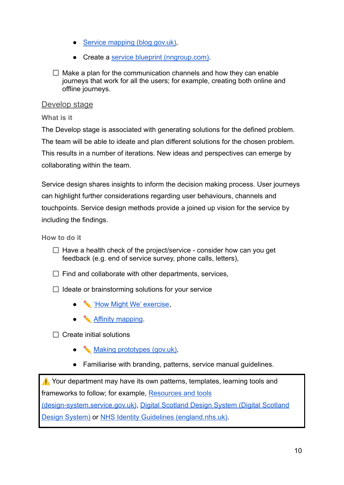- [Service mapping \(blog.gov.uk\)](https://services.blog.gov.uk/2020/09/01/service-mapping-a-step-by-step-guide/),
- Create a [service blueprint \(nngroup.com\)](https://www.nngroup.com/articles/service-blueprints-definition/).
- $\Box$  Make a plan for the communication channels and how they can enable journeys that work for all the users; for example, creating both online and offline journeys.

#### <span id="page-10-0"></span>Develop stage

#### **What is it**

The Develop stage is associated with generating solutions for the defined problem. The team will be able to ideate and plan different solutions for the chosen problem. This results in a number of iterations. New ideas and perspectives can emerge by collaborating within the team.

Service design shares insights to inform the decision making process. User journeys can highlight further considerations regarding user behaviours, channels and touchpoints. Service design methods provide a joined up vision for the service by including the findings.

**How to do it**

- $\Box$  Have a health check of the project/service consider how can you get feedback (e.g. end of service survey, phone calls, letters),
- $\Box$  Find and collaborate with other departments, services,
- $\Box$  Ideate or brainstorming solutions for your service
	- <u>N</u><del>How Might We' exercise</del>,
	- [Affinity mapping](#page-21-0).

 $\Box$  Create initial solutions

- ✏️ [Making prototypes \(gov.uk\)](https://www.gov.uk/service-manual/design/making-prototypes?msclkid=f32f71f6a62911ecb7c18820b0e959bd),
- Familiarise with branding, patterns, service manual guidelines.

⚠️ Your department may have its own patterns, templates, learning tools and frameworks to follow; for example, [Resources and tools](https://design-system.service.gov.uk/community/resources-and-tools/)

[\(design-system.service.gov.uk\)](https://design-system.service.gov.uk/community/resources-and-tools/), Digital Scotland Design [System \(Digital Scotland](https://designsystem.gov.scot/) [Design System\)](https://designsystem.gov.scot/) or [NHS Identity Guidelines \(england.nhs.uk\)](https://www.england.nhs.uk/nhsidentity/).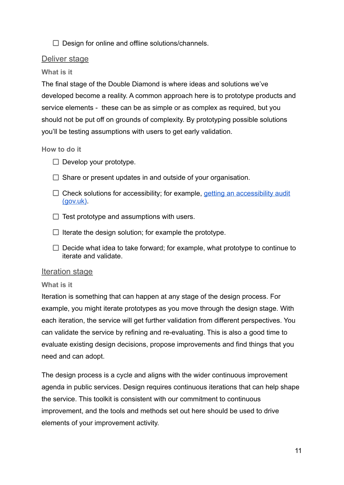$\Box$  Design for online and offline solutions/channels.

## <span id="page-11-0"></span>Deliver stage

#### **What is it**

The final stage of the Double Diamond is where ideas and solutions we've developed become a reality. A common approach here is to prototype products and service elements - these can be as simple or as complex as required, but you should not be put off on grounds of complexity. By prototyping possible solutions you'll be testing assumptions with users to get early validation.

#### **How to do it**

- $\Box$  Develop your prototype.
- $\Box$  Share or present updates in and outside of your organisation.
- $\Box$  Check solutions for accessibility; for example, getting [an accessibility audit](https://www.gov.uk/service-manual/helping-people-to-use-your-service/getting-an-accessibility-audit#!=www.gov.uk-#whats-involved-in-an-audit#) [\(gov.uk\)](https://www.gov.uk/service-manual/helping-people-to-use-your-service/getting-an-accessibility-audit#!=www.gov.uk-#whats-involved-in-an-audit#).
- $\Box$  Test prototype and assumptions with users.
- $\Box$  Iterate the design solution; for example the prototype.
- $\Box$  Decide what idea to take forward; for example, what prototype to continue to iterate and validate.

#### <span id="page-11-1"></span>Iteration stage

#### **What is it**

Iteration is something that can happen at any stage of the design process. For example, you might iterate prototypes as you move through the design stage. With each iteration, the service will get further validation from different perspectives. You can validate the service by refining and re-evaluating. This is also a good time to evaluate existing design decisions, propose improvements and find things that you need and can adopt.

The design process is a cycle and aligns with the wider continuous improvement agenda in public services. Design requires continuous iterations that can help shape the service. This toolkit is consistent with our commitment to continuous improvement, and the tools and methods set out here should be used to drive elements of your improvement activity.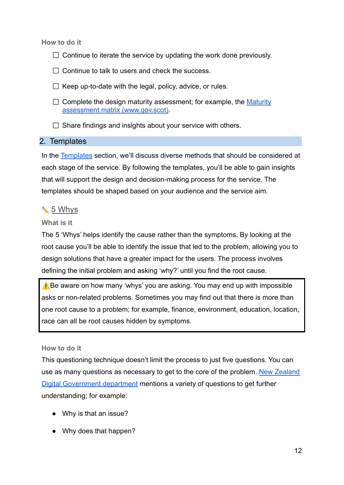**How to do it**

- $\Box$  Continue to iterate the service by updating the work done previously.
- $\Box$  Continue to talk to users and check the success.
- $\Box$  Keep up-to-date with the legal, policy, advice, or rules.
- $\Box$  Complete the design maturity assessment; for example, the [Maturity](https://www.gov.scot/publications/the-scottish-approach-to-service-design/pages/maturity-assessment-matrix/) [assessment matrix \(](https://www.gov.scot/publications/the-scottish-approach-to-service-design/pages/maturity-assessment-matrix/)[www.gov.scot](http://www.gov.scot)[\).](https://www.gov.scot/publications/the-scottish-approach-to-service-design/pages/maturity-assessment-matrix/)
- $\Box$  Share findings and insights about your service with others.

#### <span id="page-12-0"></span>2. Templates

In the [Templates](https://docs.google.com/document/d/119b0WhXp4Id82qN0ExFVKWWVb6W1Q3QkURfCS6EYZSE/edit#heading=h.45v9zztthz0u) section, we'll discuss diverse methods that should be considered at each stage of the service. By following the templates, you'll be able to gain insights that will support the design and decision-making process for the service. The templates should be shaped based on your audience and the service aim.

# <span id="page-12-1"></span>✏️ 5 Whys

#### **What is it**

The 5 'Whys' helps identify the cause rather than the symptoms. By looking at the root cause you'll be able to identify the issue that led to the problem, allowing you to design solutions that have a greater impact for the users. The process involves defining the initial problem and asking 'why?' until you find the root cause.

⚠️Be aware on how many 'whys' you are asking. You may end up with impossible asks or non-related problems. Sometimes you may find out that there is more than one root cause to a problem; for example, finance, environment, education, location, race can all be root causes hidden by symptoms.

#### **How to do it**

This questioning technique doesn't limit the process to just five questions. You can use as many questions as necessary to get to the core of the problem. [New Zealand](https://www.digital.govt.nz/standards-and-guidance/design-and-ux/service-design/service-design-tools/5-whys/) [Digital Government department](https://www.digital.govt.nz/standards-and-guidance/design-and-ux/service-design/service-design-tools/5-whys/) mentions a variety of questions to get further understanding; for example:

- Why is that an issue?
- Why does that happen?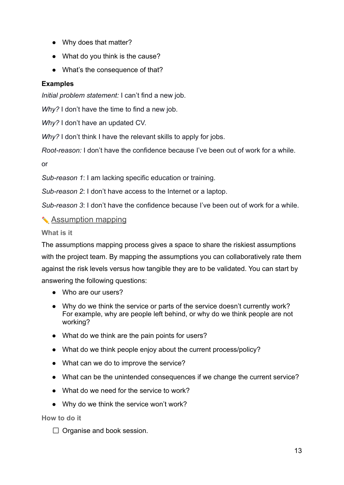- Why does that matter?
- What do you think is the cause?
- What's the consequence of that?

# **Examples**

*Initial problem statement:* I can't find a new job.

*Why?* I don't have the time to find a new job.

*Why?* I don't have an updated CV.

*Why?* I don't think I have the relevant skills to apply for jobs.

*Root-reason:* I don't have the confidence because I've been out of work for a while.

or

*Sub-reason 1*: I am lacking specific education or training.

*Sub-reason 2*: I don't have access to the Internet or a laptop.

*Sub-reason 3*: I don't have the confidence because I've been out of work for a while.

# <span id="page-13-0"></span>✏️ Assumption mapping

#### **What is it**

The assumptions mapping process gives a space to share the riskiest assumptions with the project team. By mapping the assumptions you can collaboratively rate them against the risk levels versus how tangible they are to be validated. You can start by answering the following questions:

- Who are our users?
- Why do we think the service or parts of the service doesn't currently work? For example, why are people left behind, or why do we think people are not working?
- What do we think are the pain points for users?
- What do we think people enjoy about the current process/policy?
- What can we do to improve the service?
- What can be the unintended consequences if we change the current service?
- What do we need for the service to work?
- Why do we think the service won't work?

**How to do it**

 $\Box$  Organise and book session.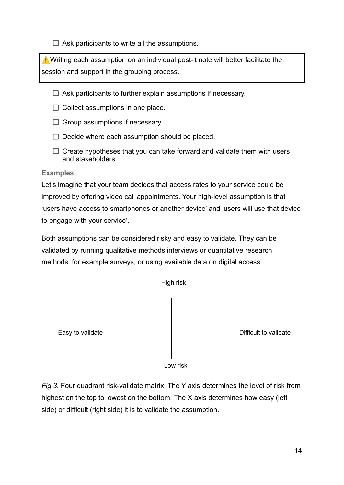$\Box$  Ask participants to write all the assumptions.

**N** Writing each assumption on an individual post-it note will better facilitate the session and support in the grouping process.

- $\Box$  Ask participants to further explain assumptions if necessary.
- $\Box$  Collect assumptions in one place.
- $\Box$  Group assumptions if necessary.
- $\Box$  Decide where each assumption should be placed.
- $\Box$  Create hypotheses that you can take forward and validate them with users and stakeholders.

#### **Examples**

Let's imagine that your team decides that access rates to your service could be improved by offering video call appointments. Your high-level assumption is that 'users have access to smartphones or another device' and 'users will use that device to engage with your service'.

Both assumptions can be considered risky and easy to validate. They can be validated by running qualitative methods interviews or quantitative research methods; for example surveys, or using available data on digital access.



*Fig 3.* Four quadrant risk-validate matrix. The Y axis determines the level of risk from highest on the top to lowest on the bottom. The X axis determines how easy (left side) or difficult (right side) it is to validate the assumption.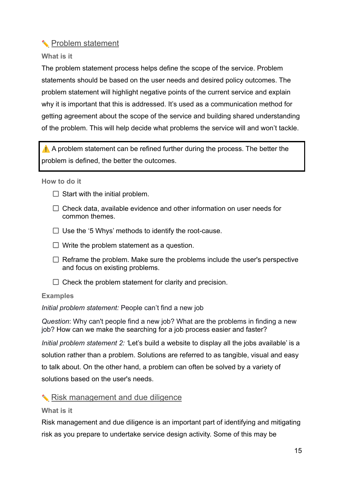# <span id="page-15-0"></span>✏️ Problem statement

#### **What is it**

The problem statement process helps define the scope of the service. Problem statements should be based on the user needs and desired policy outcomes. The problem statement will highlight negative points of the current service and explain why it is important that this is addressed. It's used as a communication method for getting agreement about the scope of the service and building shared understanding of the problem. This will help decide what problems the service will and won't tackle.

 $\triangle$  A problem statement can be refined further during the process. The better the problem is defined, the better the outcomes.

**How to do it**

- $\Box$  Start with the initial problem.
- $\Box$  Check data, available evidence and other information on user needs for common themes.
- $\Box$  Use the '5 Whys' methods to identify the root-cause.
- $\Box$  Write the problem statement as a question.
- $\Box$  Reframe the problem. Make sure the problems include the user's perspective and focus on existing problems.
- $\Box$  Check the problem statement for clarity and precision.

#### **Examples**

*Initial problem statement:* People can't find a new job

*Question*: Why can't people find a new job? What are the problems in finding a new job? How can we make the searching for a job process easier and faster?

*Initial problem statement 2: '*Let's build a website to display all the jobs available' is a solution rather than a problem. Solutions are referred to as tangible, visual and easy to talk about. On the other hand, a problem can often be solved by a variety of solutions based on the user's needs.

# <span id="page-15-1"></span>✏️ Risk management and due diligence

#### **What is it**

Risk management and due diligence is an important part of identifying and mitigating risk as you prepare to undertake service design activity. Some of this may be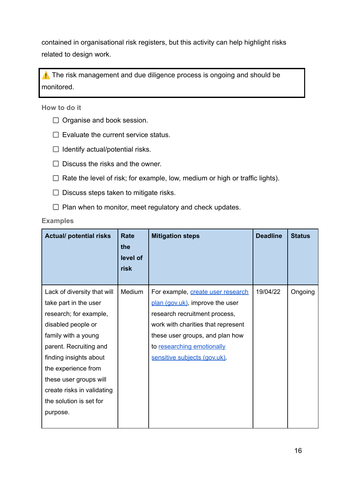contained in organisational risk registers, but this activity can help highlight risks related to design work.

⚠️ The risk management and due diligence process is ongoing and should be monitored.

#### **How to do it**

- $\Box$  Organise and book session.
- $\Box$  Evaluate the current service status.
- $\Box$  Identify actual/potential risks.
- $\Box$  Discuss the risks and the owner.
- $\Box$  Rate the level of risk; for example, low, medium or high or traffic lights).
- $\Box$  Discuss steps taken to mitigate risks.
- $\Box$  Plan when to monitor, meet regulatory and check updates.

#### **Examples**

| <b>Actual/ potential risks</b>                       | Rate<br>the<br>level of<br>risk | <b>Mitigation steps</b>                                              | <b>Deadline</b> | <b>Status</b> |
|------------------------------------------------------|---------------------------------|----------------------------------------------------------------------|-----------------|---------------|
| Lack of diversity that will<br>take part in the user | Medium                          | For example, create user research<br>plan (gov.uk), improve the user | 19/04/22        | Ongoing       |
| research; for example,                               |                                 | research recruitment process,                                        |                 |               |
| disabled people or                                   |                                 | work with charities that represent                                   |                 |               |
| family with a young                                  |                                 | these user groups, and plan how                                      |                 |               |
| parent. Recruiting and                               |                                 | to researching emotionally                                           |                 |               |
| finding insights about                               |                                 | sensitive subjects (gov.uk).                                         |                 |               |
| the experience from                                  |                                 |                                                                      |                 |               |
| these user groups will                               |                                 |                                                                      |                 |               |
| create risks in validating                           |                                 |                                                                      |                 |               |
| the solution is set for                              |                                 |                                                                      |                 |               |
| purpose.                                             |                                 |                                                                      |                 |               |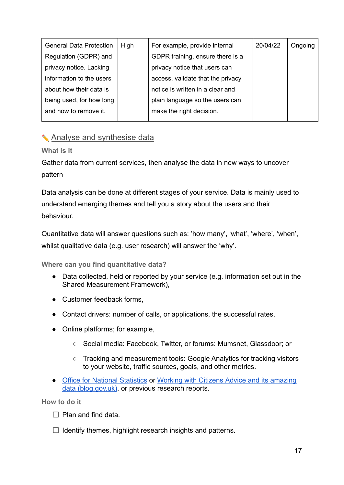| <b>General Data Protection</b> | <b>High</b> | For example, provide internal     | 20/04/22 | Ongoing |
|--------------------------------|-------------|-----------------------------------|----------|---------|
| Regulation (GDPR) and          |             | GDPR training, ensure there is a  |          |         |
| privacy notice. Lacking        |             | privacy notice that users can     |          |         |
| information to the users       |             | access, validate that the privacy |          |         |
| about how their data is        |             | notice is written in a clear and  |          |         |
| being used, for how long       |             | plain language so the users can   |          |         |
| and how to remove it.          |             | make the right decision.          |          |         |
|                                |             |                                   |          |         |

# <span id="page-17-1"></span><span id="page-17-0"></span>✏️ Analyse and synthesise data

**What is it**

Gather data from current services, then analyse the data in new ways to uncover pattern

Data analysis can be done at different stages of your service. Data is mainly used to understand emerging themes and tell you a story about the users and their behaviour.

Quantitative data will answer questions such as: 'how many', 'what', 'where', 'when', whilst qualitative data (e.g. user research) will answer the 'why'.

**Where can you find quantitative data?**

- Data collected, held or reported by your service (e.g. information set out in the Shared Measurement Framework),
- Customer feedback forms,
- Contact drivers: number of calls, or applications, the successful rates,
- Online platforms; for example,
	- Social media: Facebook, Twitter, or forums: Mumsnet, Glassdoor; or
	- Tracking and measurement tools: Google Analytics for tracking visitors to your website, traffic sources, goals, and other metrics.
- [Office for National Statistics](https://www.ons.gov.uk/) or Working with Citizens [Advice and its amazing](https://gds.blog.gov.uk/2018/01/10/working-with-citizens-advice-and-its-amazing-data/) [data \(blog.gov.uk\)](https://gds.blog.gov.uk/2018/01/10/working-with-citizens-advice-and-its-amazing-data/), or previous research reports.

**How to do it**

- $\Box$  Plan and find data.
- $\Box$  Identify themes, highlight research insights and patterns.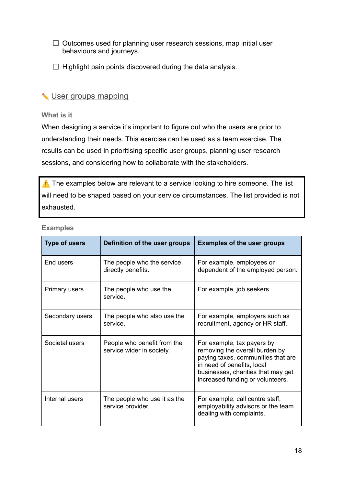$\Box$  Outcomes used for planning user research sessions, map initial user behaviours and journeys.

 $\Box$  Highlight pain points discovered during the data analysis.

# <span id="page-18-0"></span>**◆ User groups mapping**

#### **What is it**

When designing a service it's important to figure out who the users are prior to understanding their needs. This exercise can be used as a team exercise. The results can be used in prioritising specific user groups, planning user research sessions, and considering how to collaborate with the stakeholders.

⚠️ The examples below are relevant to a service looking to hire someone. The list will need to be shaped based on your service circumstances. The list provided is not exhausted.

| <b>Type of users</b> | Definition of the user groups                            | <b>Examples of the user groups</b>                                                                                                                                                                         |
|----------------------|----------------------------------------------------------|------------------------------------------------------------------------------------------------------------------------------------------------------------------------------------------------------------|
|                      |                                                          |                                                                                                                                                                                                            |
| End users            | The people who the service<br>directly benefits.         | For example, employees or<br>dependent of the employed person.                                                                                                                                             |
| Primary users        | The people who use the<br>service.                       | For example, job seekers.                                                                                                                                                                                  |
| Secondary users      | The people who also use the<br>service.                  | For example, employers such as<br>recruitment, agency or HR staff.                                                                                                                                         |
| Societal users       | People who benefit from the<br>service wider in society. | For example, tax payers by<br>removing the overall burden by<br>paying taxes. communities that are<br>in need of benefits, local<br>businesses, charities that may get<br>increased funding or volunteers. |
| Internal users       | The people who use it as the<br>service provider.        | For example, call centre staff,<br>employability advisors or the team<br>dealing with complaints.                                                                                                          |

#### **Examples**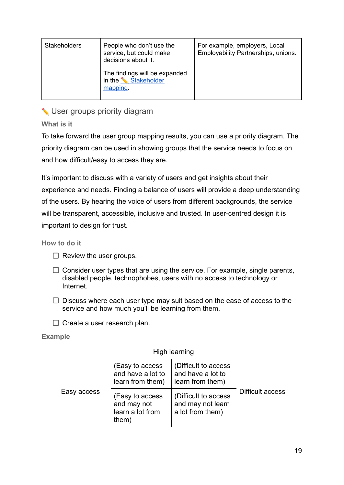| <b>Stakeholders</b> | People who don't use the<br>service, but could make<br>decisions about it. | For example, employers, Local<br>Employability Partnerships, unions. |
|---------------------|----------------------------------------------------------------------------|----------------------------------------------------------------------|
|                     | The findings will be expanded<br>in the <u>Stakeholder</u><br>mapping.     |                                                                      |

# <span id="page-19-0"></span>✏️ User groups priority diagram

**What is it**

To take forward the user group mapping results, you can use a priority diagram. The priority diagram can be used in showing groups that the service needs to focus on and how difficult/easy to access they are.

It's important to discuss with a variety of users and get insights about their experience and needs. Finding a balance of users will provide a deep understanding of the users. By hearing the voice of users from different backgrounds, the service will be transparent, accessible, inclusive and trusted. In user-centred design it is important to design for trust.

**How to do it**

- $\Box$  Review the user groups.
- $\Box$  Consider user types that are using the service. For example, single parents, disabled people, technophobes, users with no access to technology or Internet.
- $\Box$  Discuss where each user type may suit based on the ease of access to the service and how much you'll be learning from them.
- $\Box$  Create a user research plan.

#### **Example**

#### High learning

| Easy access | (Easy to access<br>and have a lot to<br>learn from them)    | (Difficult to access<br>and have a lot to<br>learn from them) |                  |
|-------------|-------------------------------------------------------------|---------------------------------------------------------------|------------------|
|             | (Easy to access<br>and may not<br>learn a lot from<br>them) | (Difficult to access<br>and may not learn<br>a lot from them) | Difficult access |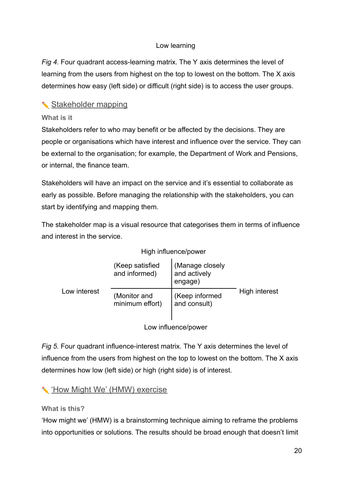## Low learning

*Fig 4.* Four quadrant access-learning matrix. The Y axis determines the level of learning from the users from highest on the top to lowest on the bottom. The X axis determines how easy (left side) or difficult (right side) is to access the user groups.

# <span id="page-20-0"></span>✏️ Stakeholder mapping

#### **What is it**

Stakeholders refer to who may benefit or be affected by the decisions. They are people or organisations which have interest and influence over the service. They can be external to the organisation; for example, the Department of Work and Pensions, or internal, the finance team.

Stakeholders will have an impact on the service and it's essential to collaborate as early as possible. Before managing the relationship with the stakeholders, you can start by identifying and mapping them.

The stakeholder map is a visual resource that categorises them in terms of influence and interest in the service.

|  | High influence/power |
|--|----------------------|
|--|----------------------|

| Low interest | (Keep satisfied<br>and informed) | (Manage closely<br>and actively<br>engage) |               |
|--------------|----------------------------------|--------------------------------------------|---------------|
|              | (Monitor and<br>minimum effort)  | (Keep informed<br>and consult)             | High interest |
|              |                                  | Low influence/power                        |               |

*Fig 5.* Four quadrant influence-interest matrix. The Y axis determines the level of influence from the users from highest on the top to lowest on the bottom. The X axis determines how low (left side) or high (right side) is of interest.

# <span id="page-20-1"></span>✏️ 'How Might We' (HMW) exercise

#### **What is this?**

'How might we' (HMW) is a brainstorming technique aiming to reframe the problems into opportunities or solutions. The results should be broad enough that doesn't limit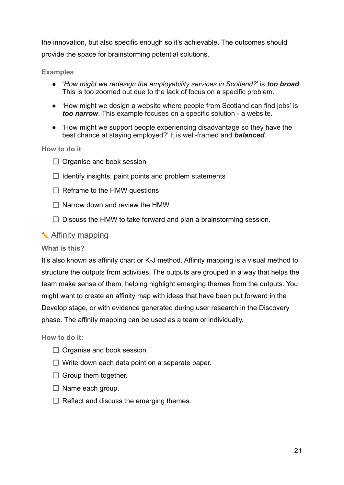the innovation, but also specific enough so it's achievable. The outcomes should provide the space for brainstorming potential solutions.

#### **Examples**

- '*How might we redesign the employability services in Scotland?*' is *too broad*. This is too zoomed out due to the lack of focus on a specific problem.
- 'How might we design a website where people from Scotland can find jobs' is *too narrow*. This example focuses on a specific solution - a website.
- 'How might we support people experiencing disadvantage so they have the best chance at staying employed?' It is well-framed and *balanced*.

#### **How to do it**

- $\Box$  Organise and book session
- $\Box$  Identify insights, paint points and problem statements
- $\Box$  Reframe to the HMW questions
- $\Box$  Narrow down and review the HMW
- $\Box$  Discuss the HMW to take forward and plan a brainstorming session.

#### <span id="page-21-0"></span>✏️ Affinity mapping

#### **What is this?**

It's also known as affinity chart or K-J method. Affinity mapping is a visual method to structure the outputs from activities. The outputs are grouped in a way that helps the team make sense of them, helping highlight emerging themes from the outputs. You might want to create an affinity map with ideas that have been put forward in the Develop stage, or with evidence generated during user research in the Discovery phase. The affinity mapping can be used as a team or individually.

**How to do it:**

- $\Box$  Organise and book session.
- $\Box$  Write down each data point on a separate paper.
- $\Box$  Group them together.
- $\Box$  Name each group.
- $\Box$  Reflect and discuss the emerging themes.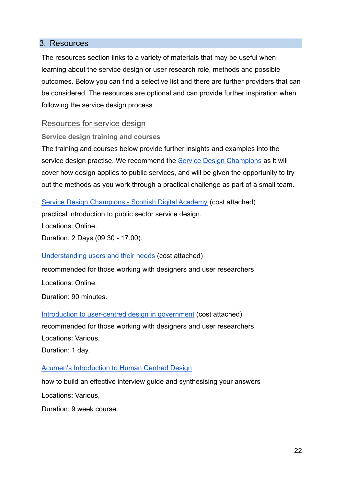#### <span id="page-22-0"></span>3. Resources

The resources section links to a variety of materials that may be useful when learning about the service design or user research role, methods and possible outcomes. Below you can find a selective list and there are further providers that can be considered. The resources are optional and can provide further inspiration when following the service design process.

#### <span id="page-22-1"></span>Resources for service design

**Service design training and courses**

The training and courses below provide further insights and examples into the service design practise. We recommend the Service [Design Champions](https://digitalacademy.gov.scot/courses/service-design-champions/) as it will cover how design applies to public services, and will be given the opportunity to try out the methods as you work through a practical challenge as part of a small team.

[Service Design Champions - Scottish Digital Academy](https://digitalacademy.gov.scot/courses/service-design-champions/) (cost attached) practical introduction to public sector service design. Locations: Online, Duration: 2 Days (09:30 - 17:00).

#### [Understanding users and their needs](https://www.gov.uk/guidance/understanding-users-and-their-needs-live-online-course#cost) (cost attached)

recommended for those working with designers and user researchers

Locations: Online,

Duration: 90 minutes.

[Introduction to user-centred design in government](https://www.gov.uk/guidance/introduction-to-user-centred-design-in-government) (cost attached) recommended for those working with designers and user researchers Locations: Various, Duration: 1 day.

#### [Acumen's Introduction to Human Centred Design](https://www.plusacumen.org/courses/introduction-human-centered-design)

how to build an effective interview guide and synthesising your answers Locations: Various,

Duration: 9 week course.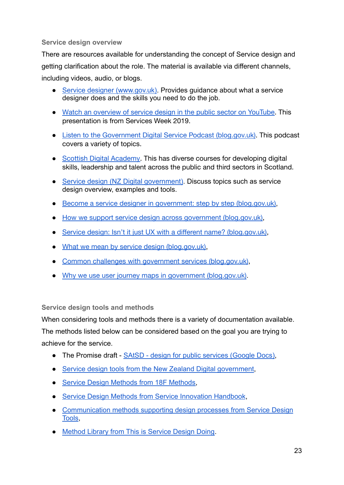#### **Service design overview**

There are resources available for understanding the concept of Service design and getting clarification about the role. The material is available via different channels, including videos, audio, or blogs.

- [Service designer \(](https://www.gov.uk/guidance/service-designer)[www.gov.uk](http://www.gov.uk)[\).](https://www.gov.uk/guidance/service-designer) Provides guidance about what a service designer does and the skills you need to do the job.
- [Watch an overview of service design in the public sector on YouTube.](https://youtu.be/yTmeaw0-6hY) This presentation is from Services Week 2019.
- [Listen to the Government Digital Service Podcast \(blog.gov.uk\).](https://gds.blog.gov.uk/category/podcast/?msclkid=f53b6221aacc11ec9cce38eb9aba61e4) This podcast covers a variety of topics.
- [Scottish Digital Academy.](https://digitalacademy.gov.scot/) This has diverse courses for developing digital skills, leadership and talent across the public and third sectors in Scotland.
- [Service design \(NZ Digital government\)](https://www.digital.govt.nz/standards-and-guidance/design-and-ux/service-design/). Discuss topics such as service design overview, examples and tools.
- [Become a service designer in government: step by step \(blog.gov.uk\)](https://designnotes.blog.gov.uk/2019/06/04/become-a-service-designer-in-government-step-by-step/),
- [How we support service design across government \(blog.gov.uk\)](https://gds.blog.gov.uk/2019/09/03/how-we-support-service-design-across-government/),
- [Service design: Isn't it just UX with a different name? \(blog.gov.uk\)](https://designnotes.blog.gov.uk/2016/10/04/service-design-isnt-it-just-ux-with-a-different-name/),
- [What we mean by service design \(blog.gov.uk\),](https://gds.blog.gov.uk/2016/04/18/what-we-mean-by-service-design/)
- [Common challenges with government services \(blog.gov.uk\)](https://designnotes.blog.gov.uk/2016/04/22/common-problems-with-government-services/),
- [Why we use user journey maps in government \(blog.gov.uk\)](https://designnotes.blog.gov.uk/2016/03/30/why-we-use-user-journey-maps-in-government/).

**Service design tools and methods**

When considering tools and methods there is a variety of documentation available. The methods listed below can be considered based on the goal you are trying to achieve for the service.

- The Promise draft [SAtSD design for public services](https://docs.google.com/document/d/1t4nsO3fQNKsrLfpwoPlEs-q0BfHmNAoetT9ttMaPawk/edit#heading=h.rv2zd3r18c4s) (Google Docs),
- [Service design tools from the New Zealand Digital government](https://www.digital.govt.nz/standards-and-guidance/design-and-ux/service-design/service-design-tools/),
- [Service Design Methods from 18F Methods,](https://methods.18f.gov/)
- [Service Design Methods from Service Innovation Handbook](https://serviceinnovationhandbook.org/methods/),
- [Communication methods supporting design processes from Service Design](https://servicedesigntools.org/) [Tools](https://servicedesigntools.org/),
- [Method Library from This is Service Design Doing](https://www.thisisservicedesigndoing.com/methods).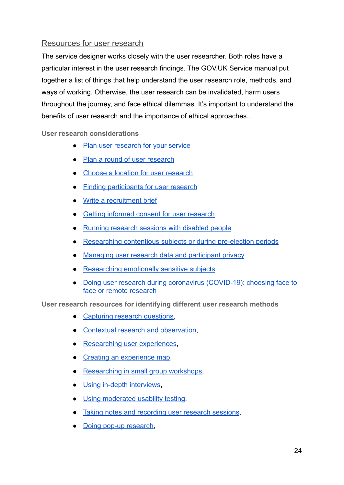# <span id="page-24-0"></span>Resources for user research

The service designer works closely with the user researcher. Both roles have a particular interest in the user research findings. The GOV.UK Service manual put together a list of things that help understand the user research role, methods, and ways of working. Otherwise, the user research can be invalidated, harm users throughout the journey, and face ethical dilemmas. It's important to understand the benefits of user research and the importance of ethical approaches..

<span id="page-24-2"></span>**User research considerations**

- [Plan user research for your service](https://www.gov.uk/service-manual/user-research/plan-user-research-for-your-service)
- [Plan a round of user research](https://www.gov.uk/service-manual/user-research/plan-round-of-user-research)
- [Choose a location for user research](https://www.gov.uk/service-manual/user-research/choose-a-location-for-user-research)
- [Finding participants for user research](https://www.gov.uk/service-manual/user-research/find-user-research-participants)
- [Write a recruitment brief](https://www.gov.uk/service-manual/user-research/write-a-recruitment-brief)
- [Getting informed consent for user research](https://www.gov.uk/service-manual/user-research/getting-users-consent-for-research)
- [Running research sessions with disabled people](https://www.gov.uk/service-manual/user-research/running-research-sessions-with-people-with-disabilities)
- [Researching contentious subjects or during pre-election periods](https://www.gov.uk/service-manual/user-research/researching-contentious-subjects-purdah)
- [Managing user research data and participant privacy](https://www.gov.uk/service-manual/user-research/managing-user-research-data-participant-privacy)
- [Researching emotionally sensitive subjects](https://www.gov.uk/service-manual/user-research/researching-emotionally-sensitive-subjects)
- [Doing user research during coronavirus \(COVID-19\): choosing face to](https://www.gov.uk/service-manual/user-research/doing-user-research-during-coronavirus-covid-19-choosing-face-to-face-or-remote-research) [face or remote research](https://www.gov.uk/service-manual/user-research/doing-user-research-during-coronavirus-covid-19-choosing-face-to-face-or-remote-research)

<span id="page-24-1"></span>**User research resources for identifying different user research methods**

- [Capturing research questions,](https://www.gov.uk/service-manual/user-research/capturing-research-questions)
- [Contextual research and observation](https://www.gov.uk/service-manual/user-research/contextual-research-and-observation),
- [Researching user experiences](https://www.gov.uk/service-manual/user-research/researching-user-experiences).
- [Creating an experience map,](https://www.gov.uk/service-manual/user-research/creating-an-experience-map)
- [Researching in small group workshops](https://www.gov.uk/service-manual/user-research/research-small-group-workshops),
- [Using in-depth interviews](https://www.gov.uk/service-manual/user-research/using-in-depth-interviews),
- [Using moderated usability testing,](https://www.gov.uk/service-manual/user-research/using-moderated-usability-testing)
- [Taking notes and recording user research sessions,](https://www.gov.uk/service-manual/user-research/taking-notes-and-recording-user-research-sessions)
- [Doing pop-up research](https://www.gov.uk/service-manual/user-research/doing-pop-up-research)